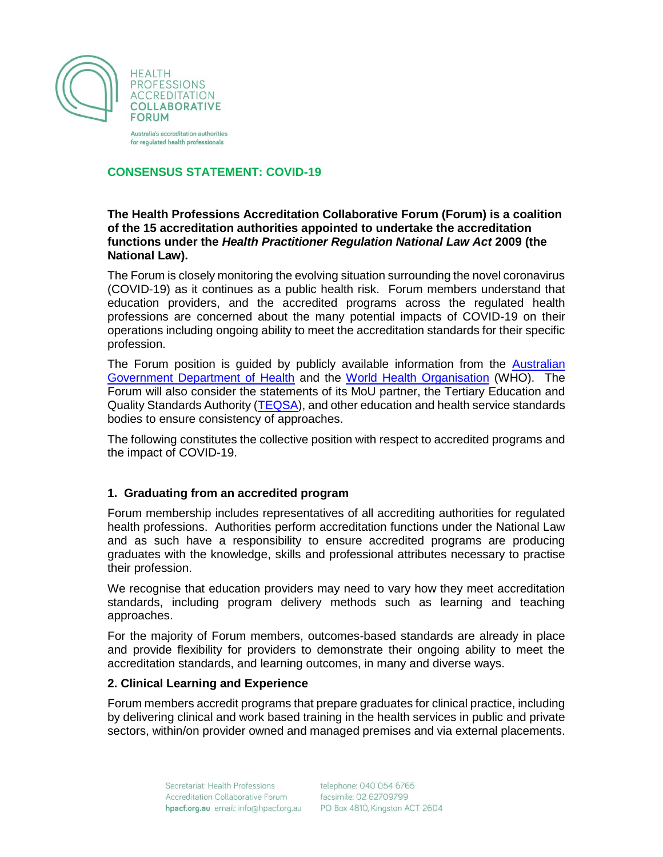

Australia's accreditation authorities for regulated health professionals

## **CONSENSUS STATEMENT: COVID-19**

### **The Health Professions Accreditation Collaborative Forum (Forum) is a coalition of the 15 accreditation authorities appointed to undertake the accreditation functions under the** *Health Practitioner Regulation National Law Act* **2009 (the National Law).**

The Forum is closely monitoring the evolving situation surrounding the novel coronavirus (COVID-19) as it continues as a public health risk. Forum members understand that education providers, and the accredited programs across the regulated health professions are concerned about the many potential impacts of COVID-19 on their operations including ongoing ability to meet the accreditation standards for their specific profession.

The Forum position is guided by publicly available information from the [Australian](https://www.health.gov.au/news/health-alerts/novel-coronavirus-2019-ncov-health-alert)  [Government Department of Health](https://www.health.gov.au/news/health-alerts/novel-coronavirus-2019-ncov-health-alert) and the [World Health Organisation](https://www.who.int/emergencies/diseases/novel-coronavirus-2019) (WHO). The Forum will also consider the statements of its MoU partner, the Tertiary Education and Quality Standards Authority [\(TEQSA\)](https://www.teqsa.gov.au/latest-news/articles/novel-coronavirus-latest-regulatory-advice), and other education and health service standards bodies to ensure consistency of approaches.

The following constitutes the collective position with respect to accredited programs and the impact of COVID-19.

## **1. Graduating from an accredited program**

Forum membership includes representatives of all accrediting authorities for regulated health professions. Authorities perform accreditation functions under the National Law and as such have a responsibility to ensure accredited programs are producing graduates with the knowledge, skills and professional attributes necessary to practise their profession.

We recognise that education providers may need to vary how they meet accreditation standards, including program delivery methods such as learning and teaching approaches.

For the majority of Forum members, outcomes-based standards are already in place and provide flexibility for providers to demonstrate their ongoing ability to meet the accreditation standards, and learning outcomes, in many and diverse ways.

#### **2. Clinical Learning and Experience**

Forum members accredit programs that prepare graduates for clinical practice, including by delivering clinical and work based training in the health services in public and private sectors, within/on provider owned and managed premises and via external placements.

> Secretariat: Health Professions Accreditation Collaborative Forum hpacf.org.au email: info@hpacf.org.au

telephone: 040 054 6765 facsimile: 02 62709799 PO Box 4810, Kingston ACT 2604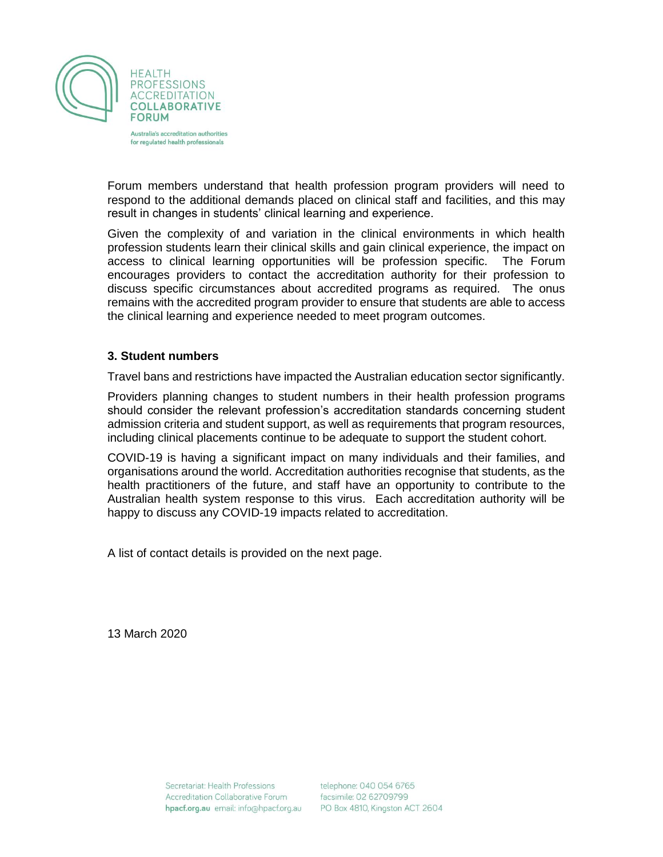

Australia's accreditation authorities for regulated health professionals

Forum members understand that health profession program providers will need to respond to the additional demands placed on clinical staff and facilities, and this may result in changes in students' clinical learning and experience.

Given the complexity of and variation in the clinical environments in which health profession students learn their clinical skills and gain clinical experience, the impact on access to clinical learning opportunities will be profession specific. The Forum encourages providers to contact the accreditation authority for their profession to discuss specific circumstances about accredited programs as required. The onus remains with the accredited program provider to ensure that students are able to access the clinical learning and experience needed to meet program outcomes.

#### **3. Student numbers**

Travel bans and restrictions have impacted the Australian education sector significantly.

Providers planning changes to student numbers in their health profession programs should consider the relevant profession's accreditation standards concerning student admission criteria and student support, as well as requirements that program resources, including clinical placements continue to be adequate to support the student cohort.

COVID-19 is having a significant impact on many individuals and their families, and organisations around the world. Accreditation authorities recognise that students, as the health practitioners of the future, and staff have an opportunity to contribute to the Australian health system response to this virus. Each accreditation authority will be happy to discuss any COVID-19 impacts related to accreditation.

A list of contact details is provided on the next page.

13 March 2020

telephone: 040 054 6765 facsimile: 02 62709799 PO Box 4810, Kingston ACT 2604